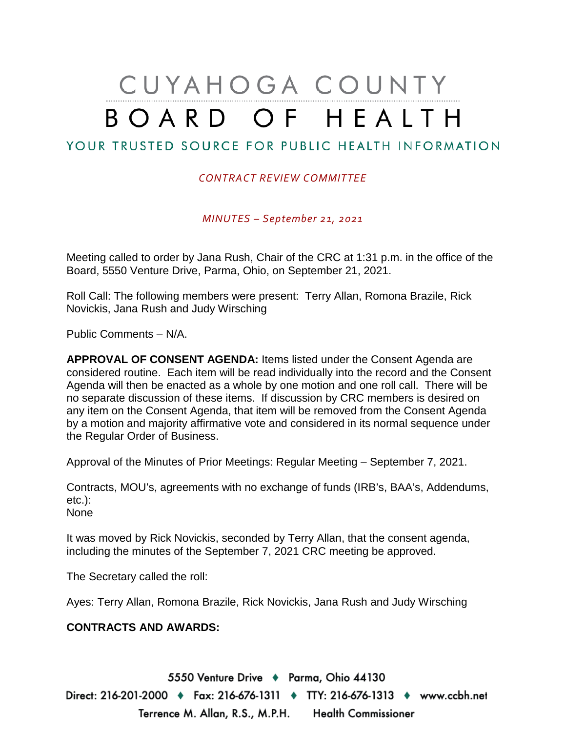# CUYAHOGA COUNTY BOARD OF HEALTH

## YOUR TRUSTED SOURCE FOR PUBLIC HEALTH INFORMATION

#### *CONTRACT REVIEW COMMITTEE*

*MINUTES – September 21, 2021*

Meeting called to order by Jana Rush, Chair of the CRC at 1:31 p.m. in the office of the Board, 5550 Venture Drive, Parma, Ohio, on September 21, 2021.

Roll Call: The following members were present: Terry Allan, Romona Brazile, Rick Novickis, Jana Rush and Judy Wirsching

Public Comments – N/A.

**APPROVAL OF CONSENT AGENDA:** Items listed under the Consent Agenda are considered routine. Each item will be read individually into the record and the Consent Agenda will then be enacted as a whole by one motion and one roll call. There will be no separate discussion of these items. If discussion by CRC members is desired on any item on the Consent Agenda, that item will be removed from the Consent Agenda by a motion and majority affirmative vote and considered in its normal sequence under the Regular Order of Business.

Approval of the Minutes of Prior Meetings: Regular Meeting – September 7, 2021.

Contracts, MOU's, agreements with no exchange of funds (IRB's, BAA's, Addendums, etc.): None

It was moved by Rick Novickis, seconded by Terry Allan, that the consent agenda, including the minutes of the September 7, 2021 CRC meeting be approved.

The Secretary called the roll:

Ayes: Terry Allan, Romona Brazile, Rick Novickis, Jana Rush and Judy Wirsching

#### **CONTRACTS AND AWARDS:**

5550 Venture Drive + Parma, Ohio 44130 Direct: 216-201-2000 ♦ Fax: 216-676-1311 ♦ TTY: 216-676-1313 ♦ www.ccbh.net Terrence M. Allan, R.S., M.P.H. Health Commissioner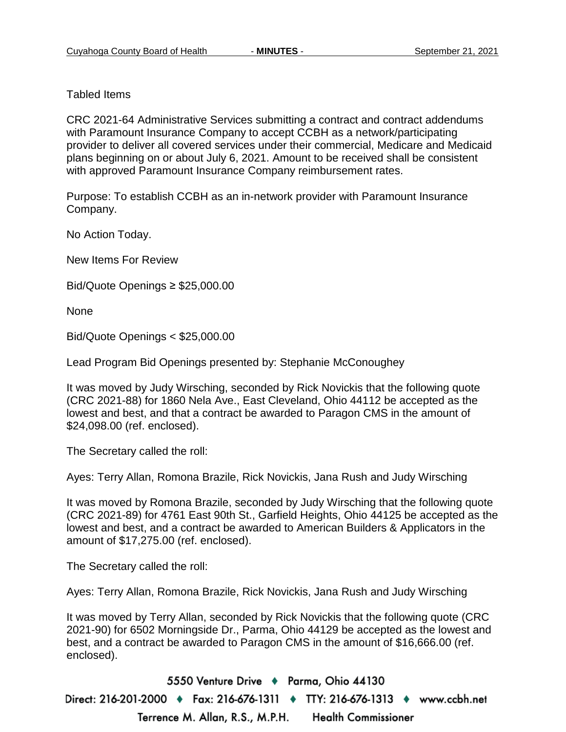Tabled Items

CRC 2021-64 Administrative Services submitting a contract and contract addendums with Paramount Insurance Company to accept CCBH as a network/participating provider to deliver all covered services under their commercial, Medicare and Medicaid plans beginning on or about July 6, 2021. Amount to be received shall be consistent with approved Paramount Insurance Company reimbursement rates.

Purpose: To establish CCBH as an in-network provider with Paramount Insurance Company.

No Action Today.

New Items For Review

Bid/Quote Openings ≥ \$25,000.00

None

Bid/Quote Openings < \$25,000.00

Lead Program Bid Openings presented by: Stephanie McConoughey

It was moved by Judy Wirsching, seconded by Rick Novickis that the following quote (CRC 2021-88) for 1860 Nela Ave., East Cleveland, Ohio 44112 be accepted as the lowest and best, and that a contract be awarded to Paragon CMS in the amount of \$24,098.00 (ref. enclosed).

The Secretary called the roll:

Ayes: Terry Allan, Romona Brazile, Rick Novickis, Jana Rush and Judy Wirsching

It was moved by Romona Brazile, seconded by Judy Wirsching that the following quote (CRC 2021-89) for 4761 East 90th St., Garfield Heights, Ohio 44125 be accepted as the lowest and best, and a contract be awarded to American Builders & Applicators in the amount of \$17,275.00 (ref. enclosed).

The Secretary called the roll:

Ayes: Terry Allan, Romona Brazile, Rick Novickis, Jana Rush and Judy Wirsching

It was moved by Terry Allan, seconded by Rick Novickis that the following quote (CRC 2021-90) for 6502 Morningside Dr., Parma, Ohio 44129 be accepted as the lowest and best, and a contract be awarded to Paragon CMS in the amount of \$16,666.00 (ref. enclosed).

5550 Venture Drive + Parma, Ohio 44130 Direct: 216-201-2000 ♦ Fax: 216-676-1311 ♦ TTY: 216-676-1313 ♦ www.ccbh.net Terrence M. Allan, R.S., M.P.H. **Health Commissioner**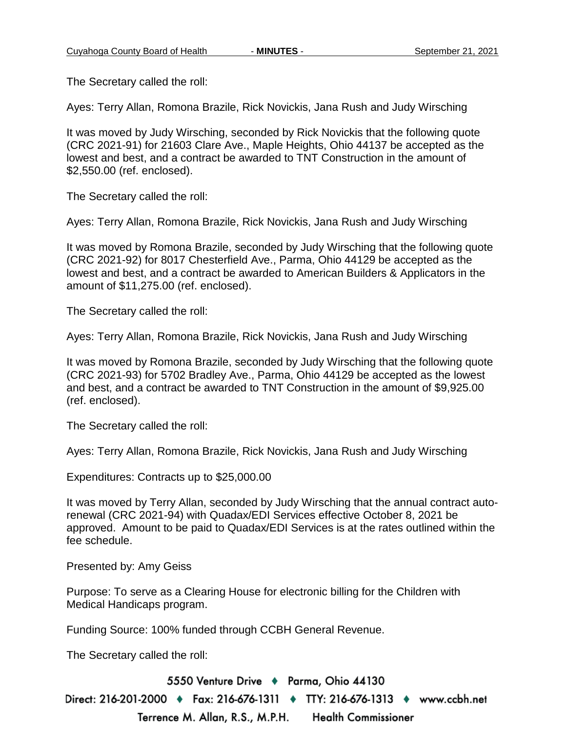The Secretary called the roll:

Ayes: Terry Allan, Romona Brazile, Rick Novickis, Jana Rush and Judy Wirsching

It was moved by Judy Wirsching, seconded by Rick Novickis that the following quote (CRC 2021-91) for 21603 Clare Ave., Maple Heights, Ohio 44137 be accepted as the lowest and best, and a contract be awarded to TNT Construction in the amount of \$2,550.00 (ref. enclosed).

The Secretary called the roll:

Ayes: Terry Allan, Romona Brazile, Rick Novickis, Jana Rush and Judy Wirsching

It was moved by Romona Brazile, seconded by Judy Wirsching that the following quote (CRC 2021-92) for 8017 Chesterfield Ave., Parma, Ohio 44129 be accepted as the lowest and best, and a contract be awarded to American Builders & Applicators in the amount of \$11,275.00 (ref. enclosed).

The Secretary called the roll:

Ayes: Terry Allan, Romona Brazile, Rick Novickis, Jana Rush and Judy Wirsching

It was moved by Romona Brazile, seconded by Judy Wirsching that the following quote (CRC 2021-93) for 5702 Bradley Ave., Parma, Ohio 44129 be accepted as the lowest and best, and a contract be awarded to TNT Construction in the amount of \$9,925.00 (ref. enclosed).

The Secretary called the roll:

Ayes: Terry Allan, Romona Brazile, Rick Novickis, Jana Rush and Judy Wirsching

Expenditures: Contracts up to \$25,000.00

It was moved by Terry Allan, seconded by Judy Wirsching that the annual contract autorenewal (CRC 2021-94) with Quadax/EDI Services effective October 8, 2021 be approved. Amount to be paid to Quadax/EDI Services is at the rates outlined within the fee schedule.

Presented by: Amy Geiss

Purpose: To serve as a Clearing House for electronic billing for the Children with Medical Handicaps program.

Funding Source: 100% funded through CCBH General Revenue.

The Secretary called the roll:

5550 Venture Drive + Parma, Ohio 44130 Direct: 216-201-2000 ♦ Fax: 216-676-1311 ♦ TTY: 216-676-1313 ♦ www.ccbh.net Terrence M. Allan, R.S., M.P.H. **Health Commissioner**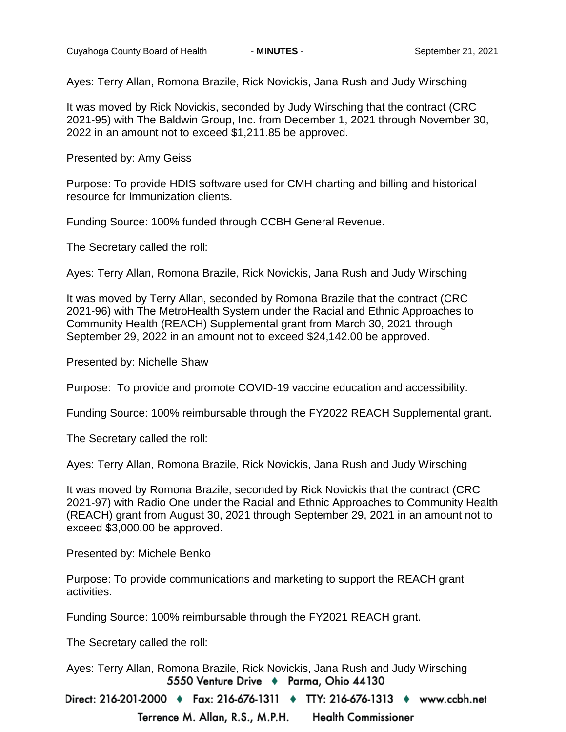Ayes: Terry Allan, Romona Brazile, Rick Novickis, Jana Rush and Judy Wirsching

It was moved by Rick Novickis, seconded by Judy Wirsching that the contract (CRC 2021-95) with The Baldwin Group, Inc. from December 1, 2021 through November 30, 2022 in an amount not to exceed \$1,211.85 be approved.

Presented by: Amy Geiss

Purpose: To provide HDIS software used for CMH charting and billing and historical resource for Immunization clients.

Funding Source: 100% funded through CCBH General Revenue.

The Secretary called the roll:

Ayes: Terry Allan, Romona Brazile, Rick Novickis, Jana Rush and Judy Wirsching

It was moved by Terry Allan, seconded by Romona Brazile that the contract (CRC 2021-96) with The MetroHealth System under the Racial and Ethnic Approaches to Community Health (REACH) Supplemental grant from March 30, 2021 through September 29, 2022 in an amount not to exceed \$24,142.00 be approved.

Presented by: Nichelle Shaw

Purpose: To provide and promote COVID-19 vaccine education and accessibility.

Funding Source: 100% reimbursable through the FY2022 REACH Supplemental grant.

The Secretary called the roll:

Ayes: Terry Allan, Romona Brazile, Rick Novickis, Jana Rush and Judy Wirsching

It was moved by Romona Brazile, seconded by Rick Novickis that the contract (CRC 2021-97) with Radio One under the Racial and Ethnic Approaches to Community Health (REACH) grant from August 30, 2021 through September 29, 2021 in an amount not to exceed \$3,000.00 be approved.

Presented by: Michele Benko

Purpose: To provide communications and marketing to support the REACH grant activities.

Funding Source: 100% reimbursable through the FY2021 REACH grant.

The Secretary called the roll:

Ayes: Terry Allan, Romona Brazile, Rick Novickis, Jana Rush and Judy Wirsching5550 Venture Drive + Parma, Ohio 44130

Direct: 216-201-2000 ♦ Fax: 216-676-1311 ♦ TTY: 216-676-1313 ♦ www.ccbh.net Terrence M. Allan, R.S., M.P.H. **Health Commissioner**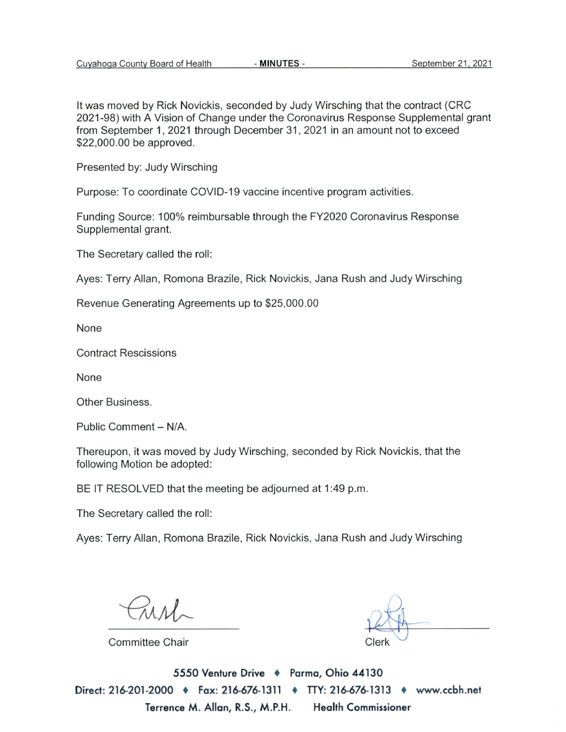It was moved by Rick Novickis, seconded by Judy Wirsching that the contract (CRC 2021-98) with A Vision of Change under the Coronavirus Response Supplemental grant from September 1, 2021 through December 31, 2021 in an amount not to exceed \$22,000.00 be approved.

Presented by: Judy Wirsching

Purpose: To coordinate COVID-19 vaccine incentive program activities.

Funding Source: 100% reimbursable through the FY2020 Coronavirus Response Supplemental grant.

The Secretary called the roll:

Ayes: Terry Allan, Romona Brazile, Rick Novickis, Jana Rush and Judy Wirsching

Revenue Generating Agreements up to \$25,000.00

None

**Contract Rescissions** 

None

Other Business.

Public Comment - N/A.

Thereupon, it was moved by Judy Wirsching, seconded by Rick Novickis, that the following Motion be adopted:

BE IT RESOLVED that the meeting be adjourned at 1:49 p.m.

The Secretary called the roll:

Ayes: Terry Allan, Romona Brazile, Rick Novickis, Jana Rush and Judy Wirsching

**Committee Chair** 

5550 Venture Drive + Parma, Ohio 44130 Direct: 216-201-2000 • Fax: 216-676-1311 • TTY: 216-676-1313 • www.ccbh.net Terrence M. Allan, R.S., M.P.H. **Health Commissioner**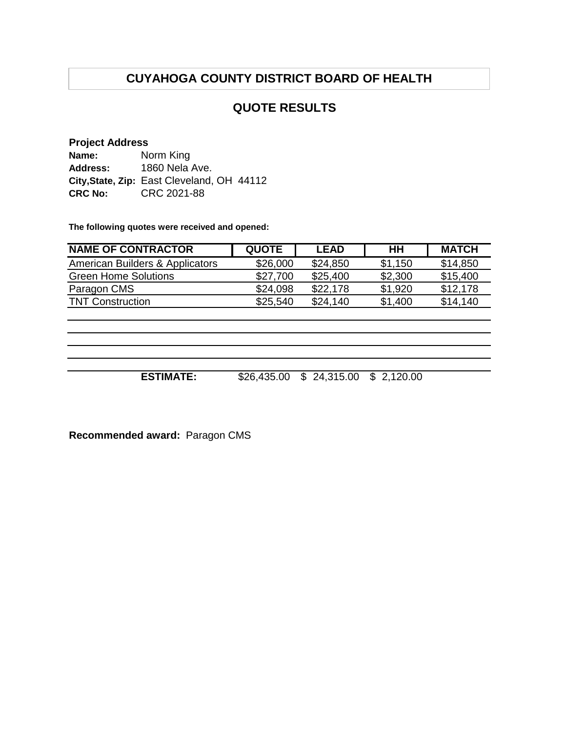## **QUOTE RESULTS**

#### **Project Address**

**Name: Address: City,State, Zip:** East Cleveland, OH 44112 **CRC No:** CRC 2021-88 Norm King 1860 Nela Ave.

**The following quotes were received and opened:**

| <b>NAME OF CONTRACTOR</b>       | <b>QUOTE</b> | <b>LEAD</b> | HН      | <b>MATCH</b> |
|---------------------------------|--------------|-------------|---------|--------------|
| American Builders & Applicators | \$26,000     | \$24.850    | \$1,150 | \$14,850     |
| <b>Green Home Solutions</b>     | \$27,700     | \$25,400    | \$2,300 | \$15,400     |
| Paragon CMS                     | \$24,098     | \$22,178    | \$1,920 | \$12,178     |
| <b>TNT Construction</b>         | \$25,540     | \$24.140    | \$1,400 | \$14,140     |

**ESTIMATE:** \$26,435.00 \$ 24,315.00 \$ 2,120.00

**Recommended award:** Paragon CMS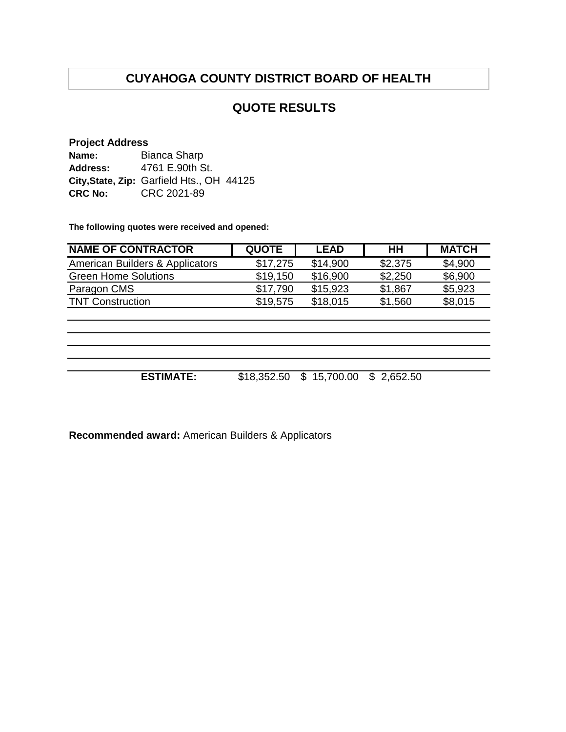## **QUOTE RESULTS**

#### **Project Address**

| Name:           | Bianca Sharp                              |  |
|-----------------|-------------------------------------------|--|
| <b>Address:</b> | 4761 E.90th St.                           |  |
|                 | City, State, Zip: Garfield Hts., OH 44125 |  |
| <b>CRC No:</b>  | CRC 2021-89                               |  |

**The following quotes were received and opened:**

| <b>NAME OF CONTRACTOR</b>       | <b>QUOTE</b> | <b>LEAD</b> | HH      | <b>MATCH</b> |
|---------------------------------|--------------|-------------|---------|--------------|
| American Builders & Applicators | \$17,275     | \$14,900    | \$2,375 | \$4,900      |
| <b>Green Home Solutions</b>     | \$19,150     | \$16,900    | \$2,250 | \$6,900      |
| Paragon CMS                     | \$17,790     | \$15,923    | \$1,867 | \$5,923      |
| <b>TNT Construction</b>         | \$19,575     | \$18,015    | \$1,560 | \$8,015      |
|                                 |              |             |         |              |

**ESTIMATE:** \$18,352.50 \$ 15,700.00 \$ 2,652.50

**Recommended award:** American Builders & Applicators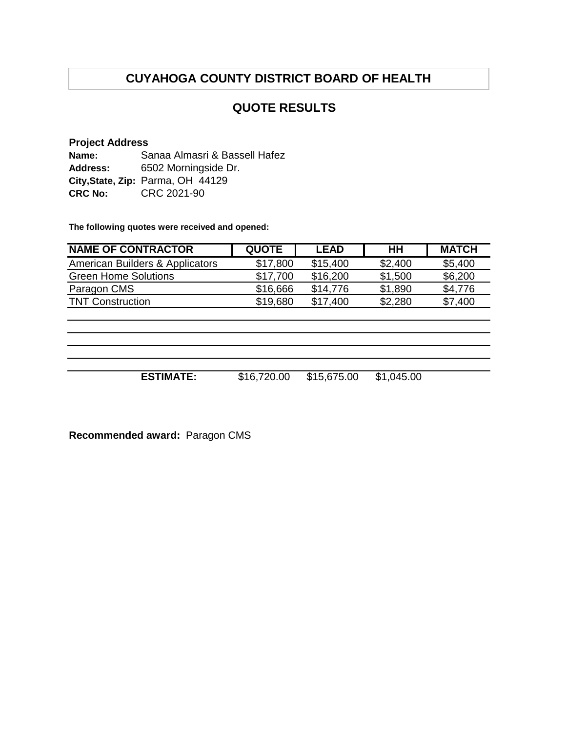## **QUOTE RESULTS**

#### **Project Address**

**Name: Address: City,State, Zip:** Parma, OH 44129 **CRC No:** CRC 2021-90 6502 Morningside Dr. Sanaa Almasri & Bassell Hafez

**The following quotes were received and opened:**

| <b>NAME OF CONTRACTOR</b>       | <b>QUOTE</b> | <b>LEAD</b> | HН      | <b>MATCH</b> |
|---------------------------------|--------------|-------------|---------|--------------|
| American Builders & Applicators | \$17,800     | \$15,400    | \$2,400 | \$5,400      |
| <b>Green Home Solutions</b>     | \$17.700     | \$16,200    | \$1,500 | \$6,200      |
| Paragon CMS                     | \$16,666     | \$14.776    | \$1,890 | \$4.776      |
| <b>TNT Construction</b>         | \$19,680     | \$17.400    | \$2,280 | \$7,400      |

**ESTIMATE:** \$16,720.00 \$15,675.00 \$1,045.00

**Recommended award:** Paragon CMS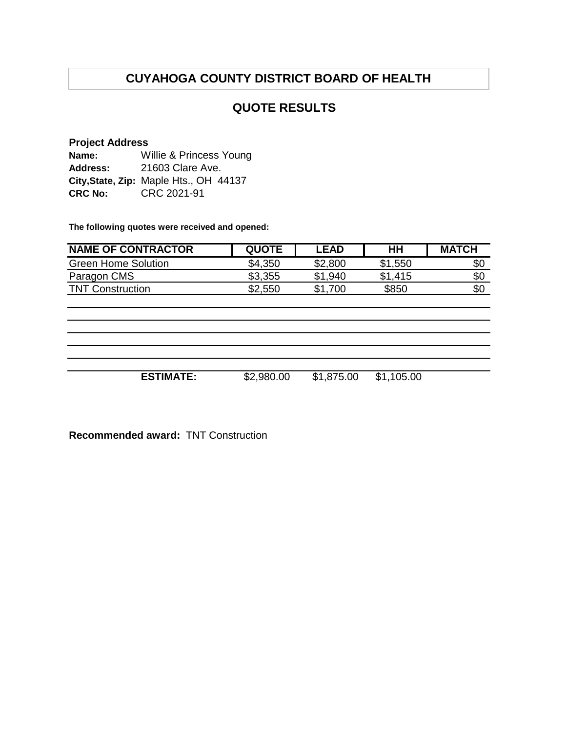## **QUOTE RESULTS**

## **Project Address**

**Name: Address: City,State, Zip:** Maple Hts., OH 44137 **CRC No:** CRC 2021-91 Willie & Princess Young 21603 Clare Ave.

**The following quotes were received and opened:**

| <b>NAME OF CONTRACTOR</b>  | <b>QUOTE</b> | <b>LEAD</b> | HН      | <b>MATCH</b> |
|----------------------------|--------------|-------------|---------|--------------|
| <b>Green Home Solution</b> | \$4,350      | \$2,800     | \$1,550 | \$0          |
| Paragon CMS                | \$3,355      | \$1,940     | \$1,415 | \$0          |
| <b>TNT Construction</b>    | \$2,550      | \$1<br>.700 | \$850   | \$0          |

**ESTIMATE:** \$2,980.00 \$1,875.00 \$1,105.00

**Recommended award:** TNT Construction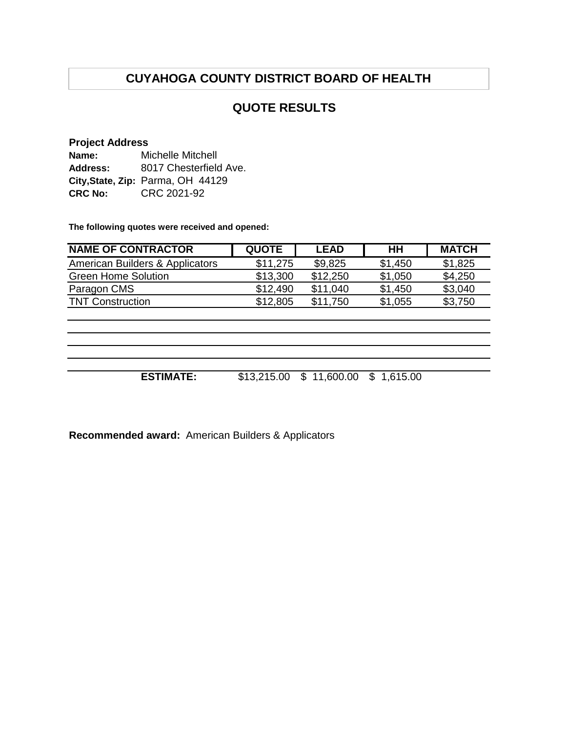## **QUOTE RESULTS**

#### **Project Address**

| Name:           | <b>Michelle Mitchell</b>          |  |  |
|-----------------|-----------------------------------|--|--|
| <b>Address:</b> | 8017 Chesterfield Ave.            |  |  |
|                 | City, State, Zip: Parma, OH 44129 |  |  |
| <b>CRC No:</b>  | CRC 2021-92                       |  |  |

**The following quotes were received and opened:**

| <b>NAME OF CONTRACTOR</b>       | <b>QUOTE</b> | <b>LEAD</b> | HН      | <b>MATCH</b> |
|---------------------------------|--------------|-------------|---------|--------------|
| American Builders & Applicators | \$11,275     | \$9,825     | \$1,450 | \$1,825      |
| <b>Green Home Solution</b>      | \$13,300     | \$12,250    | \$1,050 | \$4,250      |
| Paragon CMS                     | \$12,490     | \$11,040    | \$1,450 | \$3,040      |
| <b>TNT Construction</b>         | \$12,805     | \$11.750    | \$1,055 | \$3,750      |
|                                 |              |             |         |              |

| <b>ESTIMATE:</b> | \$13,215.00 \$ 11,600.00 \$ 1,615.00 |  |
|------------------|--------------------------------------|--|

**Recommended award:** American Builders & Applicators